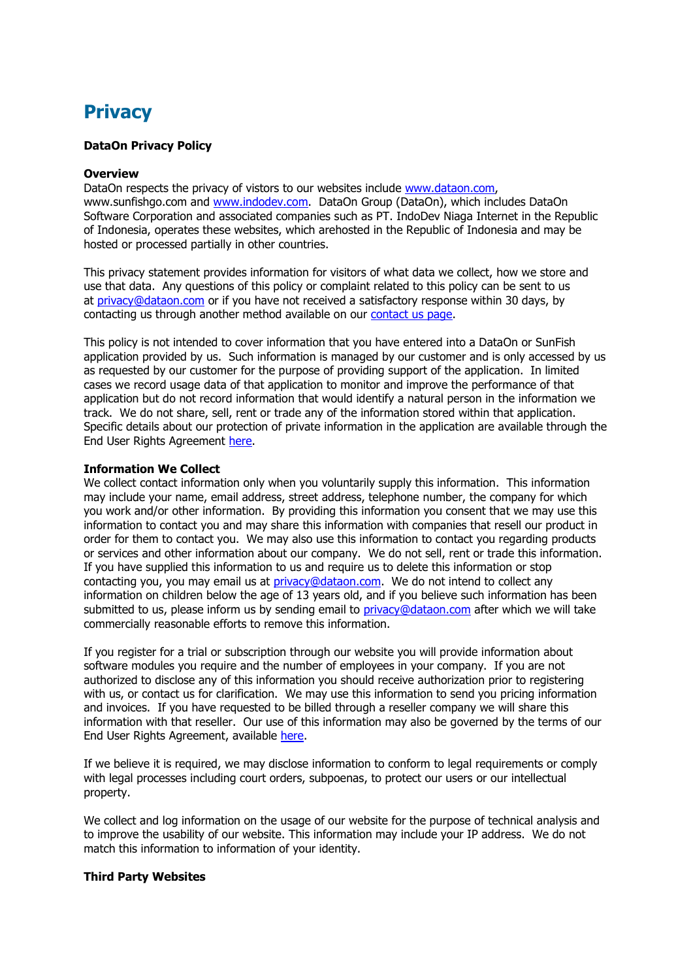# **Privacy**

## **DataOn Privacy Policy**

### **Overview**

DataOn respects the privacy of vistors to our websites include www.dataon.com, www.sunfishgo.com and www.indodev.com. DataOn Group (DataOn), which includes DataOn Software Corporation and associated companies such as PT. IndoDev Niaga Internet in the Republic of Indonesia, operates these websites, which arehosted in the Republic of Indonesia and may be hosted or processed partially in other countries.

This privacy statement provides information for visitors of what data we collect, how we store and use that data. Any questions of this policy or complaint related to this policy can be sent to us at privacy@dataon.com or if you have not received a satisfactory response within 30 days, by contacting us through another method available on our contact us page.

This policy is not intended to cover information that you have entered into a DataOn or SunFish application provided by us. Such information is managed by our customer and is only accessed by us as requested by our customer for the purpose of providing support of the application. In limited cases we record usage data of that application to monitor and improve the performance of that application but do not record information that would identify a natural person in the information we track. We do not share, sell, rent or trade any of the information stored within that application. Specific details about our protection of private information in the application are available through the End User Rights Agreement here.

#### **Information We Collect**

We collect contact information only when you voluntarily supply this information. This information may include your name, email address, street address, telephone number, the company for which you work and/or other information. By providing this information you consent that we may use this information to contact you and may share this information with companies that resell our product in order for them to contact you. We may also use this information to contact you regarding products or services and other information about our company. We do not sell, rent or trade this information. If you have supplied this information to us and require us to delete this information or stop contacting you, you may email us at privacy@dataon.com. We do not intend to collect any information on children below the age of 13 years old, and if you believe such information has been submitted to us, please inform us by sending email to privacy@dataon.com after which we will take commercially reasonable efforts to remove this information.

If you register for a trial or subscription through our website you will provide information about software modules you require and the number of employees in your company. If you are not authorized to disclose any of this information you should receive authorization prior to registering with us, or contact us for clarification. We may use this information to send you pricing information and invoices. If you have requested to be billed through a reseller company we will share this information with that reseller. Our use of this information may also be governed by the terms of our End User Rights Agreement, available here.

If we believe it is required, we may disclose information to conform to legal requirements or comply with legal processes including court orders, subpoenas, to protect our users or our intellectual property.

We collect and log information on the usage of our website for the purpose of technical analysis and to improve the usability of our website. This information may include your IP address. We do not match this information to information of your identity.

## **Third Party Websites**